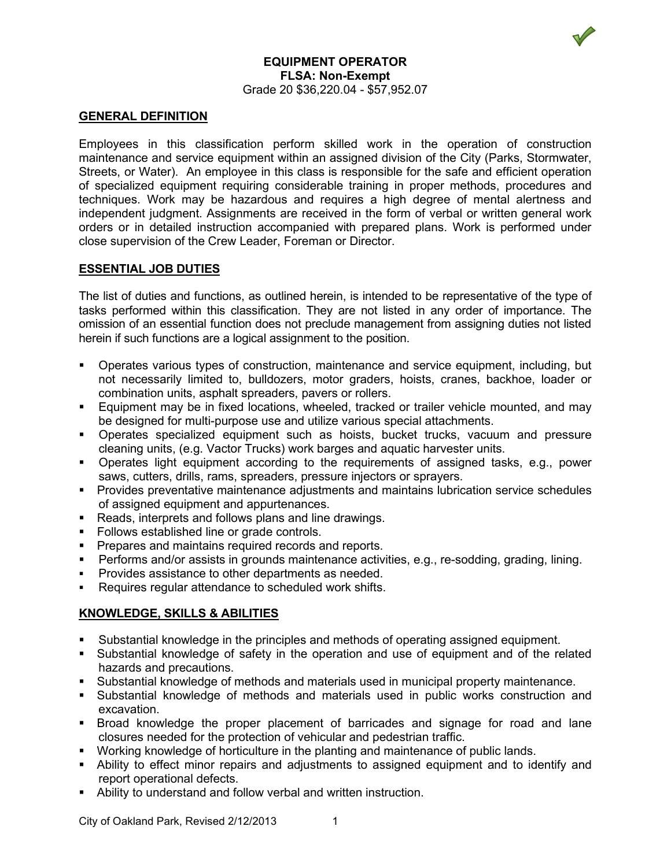# **EQUIPMENT OPERATOR FLSA: Non-Exempt** Grade 20 \$36,220.04 - \$57,952.07

## **GENERAL DEFINITION**

Employees in this classification perform skilled work in the operation of construction maintenance and service equipment within an assigned division of the City (Parks, Stormwater, Streets, or Water). An employee in this class is responsible for the safe and efficient operation of specialized equipment requiring considerable training in proper methods, procedures and techniques. Work may be hazardous and requires a high degree of mental alertness and independent judgment. Assignments are received in the form of verbal or written general work orders or in detailed instruction accompanied with prepared plans. Work is performed under close supervision of the Crew Leader, Foreman or Director.

## **ESSENTIAL JOB DUTIES**

The list of duties and functions, as outlined herein, is intended to be representative of the type of tasks performed within this classification. They are not listed in any order of importance. The omission of an essential function does not preclude management from assigning duties not listed herein if such functions are a logical assignment to the position.

- Operates various types of construction, maintenance and service equipment, including, but not necessarily limited to, bulldozers, motor graders, hoists, cranes, backhoe, loader or combination units, asphalt spreaders, pavers or rollers.
- Equipment may be in fixed locations, wheeled, tracked or trailer vehicle mounted, and may be designed for multi-purpose use and utilize various special attachments.
- Operates specialized equipment such as hoists, bucket trucks, vacuum and pressure cleaning units, (e.g. Vactor Trucks) work barges and aquatic harvester units.
- Operates light equipment according to the requirements of assigned tasks, e.g., power saws, cutters, drills, rams, spreaders, pressure injectors or sprayers.
- Provides preventative maintenance adjustments and maintains lubrication service schedules of assigned equipment and appurtenances.
- Reads, interprets and follows plans and line drawings.
- Follows established line or grade controls.
- **Prepares and maintains required records and reports.**
- Performs and/or assists in grounds maintenance activities, e.g., re-sodding, grading, lining.
- **Provides assistance to other departments as needed.**
- Requires regular attendance to scheduled work shifts.

# **KNOWLEDGE, SKILLS & ABILITIES**

- Substantial knowledge in the principles and methods of operating assigned equipment.
- Substantial knowledge of safety in the operation and use of equipment and of the related hazards and precautions.
- Substantial knowledge of methods and materials used in municipal property maintenance.
- Substantial knowledge of methods and materials used in public works construction and excavation.
- Broad knowledge the proper placement of barricades and signage for road and lane closures needed for the protection of vehicular and pedestrian traffic.
- Working knowledge of horticulture in the planting and maintenance of public lands.
- Ability to effect minor repairs and adjustments to assigned equipment and to identify and report operational defects.
- Ability to understand and follow verbal and written instruction.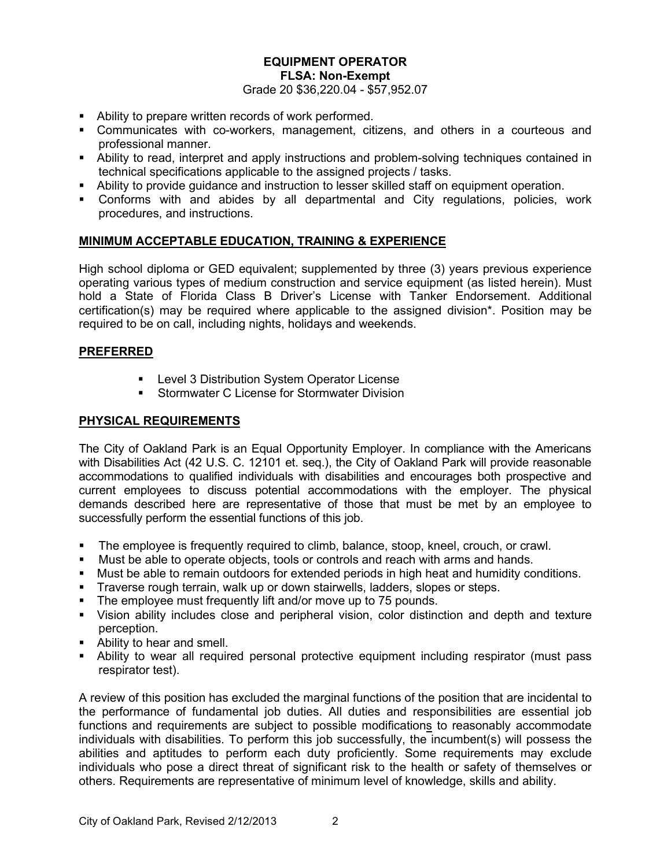#### **EQUIPMENT OPERATOR FLSA: Non-Exempt**

Grade 20 \$36,220.04 - \$57,952.07

- Ability to prepare written records of work performed.
- Communicates with co-workers, management, citizens, and others in a courteous and professional manner.
- Ability to read, interpret and apply instructions and problem-solving techniques contained in technical specifications applicable to the assigned projects / tasks.
- Ability to provide guidance and instruction to lesser skilled staff on equipment operation.
- Conforms with and abides by all departmental and City regulations, policies, work procedures, and instructions.

## **MINIMUM ACCEPTABLE EDUCATION, TRAINING & EXPERIENCE**

High school diploma or GED equivalent; supplemented by three (3) years previous experience operating various types of medium construction and service equipment (as listed herein). Must hold a State of Florida Class B Driver's License with Tanker Endorsement. Additional certification(s) may be required where applicable to the assigned division\*. Position may be required to be on call, including nights, holidays and weekends.

## **PREFERRED**

- **EXECTE:** Level 3 Distribution System Operator License
- **Stormwater C License for Stormwater Division**

#### **PHYSICAL REQUIREMENTS**

The City of Oakland Park is an Equal Opportunity Employer. In compliance with the Americans with Disabilities Act (42 U.S. C. 12101 et. seq.), the City of Oakland Park will provide reasonable accommodations to qualified individuals with disabilities and encourages both prospective and current employees to discuss potential accommodations with the employer. The physical demands described here are representative of those that must be met by an employee to successfully perform the essential functions of this job.

- The employee is frequently required to climb, balance, stoop, kneel, crouch, or crawl.
- **Must be able to operate objects, tools or controls and reach with arms and hands.**
- Must be able to remain outdoors for extended periods in high heat and humidity conditions.
- Traverse rough terrain, walk up or down stairwells, ladders, slopes or steps.
- The employee must frequently lift and/or move up to 75 pounds.
- Vision ability includes close and peripheral vision, color distinction and depth and texture perception.
- Ability to hear and smell.
- Ability to wear all required personal protective equipment including respirator (must pass respirator test).

A review of this position has excluded the marginal functions of the position that are incidental to the performance of fundamental job duties. All duties and responsibilities are essential job functions and requirements are subject to possible modifications to reasonably accommodate individuals with disabilities. To perform this job successfully, the incumbent(s) will possess the abilities and aptitudes to perform each duty proficiently. Some requirements may exclude individuals who pose a direct threat of significant risk to the health or safety of themselves or others. Requirements are representative of minimum level of knowledge, skills and ability.